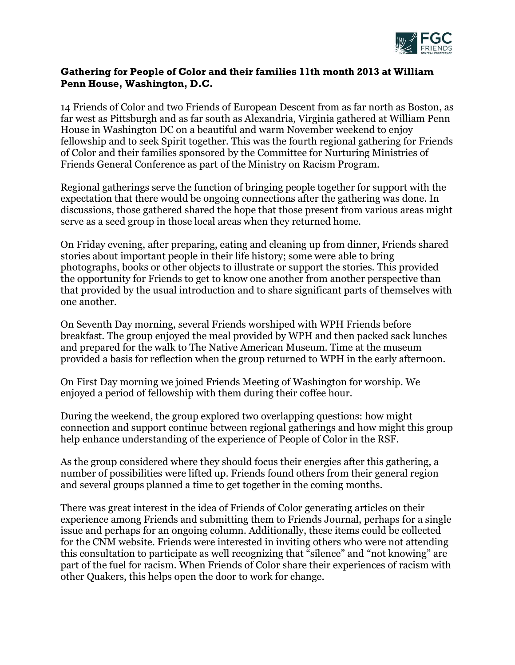

## **Gathering for People of Color and their families 11th month 2013 at William Penn House, Washington, D.C.**

14 Friends of Color and two Friends of European Descent from as far north as Boston, as far west as Pittsburgh and as far south as Alexandria, Virginia gathered at William Penn House in Washington DC on a beautiful and warm November weekend to enjoy fellowship and to seek Spirit together. This was the fourth regional gathering for Friends of Color and their families sponsored by the Committee for Nurturing Ministries of Friends General Conference as part of the Ministry on Racism Program.

Regional gatherings serve the function of bringing people together for support with the expectation that there would be ongoing connections after the gathering was done. In discussions, those gathered shared the hope that those present from various areas might serve as a seed group in those local areas when they returned home.

On Friday evening, after preparing, eating and cleaning up from dinner, Friends shared stories about important people in their life history; some were able to bring photographs, books or other objects to illustrate or support the stories. This provided the opportunity for Friends to get to know one another from another perspective than that provided by the usual introduction and to share significant parts of themselves with one another.

On Seventh Day morning, several Friends worshiped with WPH Friends before breakfast. The group enjoyed the meal provided by WPH and then packed sack lunches and prepared for the walk to The Native American Museum. Time at the museum provided a basis for reflection when the group returned to WPH in the early afternoon.

On First Day morning we joined Friends Meeting of Washington for worship. We enjoyed a period of fellowship with them during their coffee hour.

During the weekend, the group explored two overlapping questions: how might connection and support continue between regional gatherings and how might this group help enhance understanding of the experience of People of Color in the RSF.

As the group considered where they should focus their energies after this gathering, a number of possibilities were lifted up. Friends found others from their general region and several groups planned a time to get together in the coming months.

There was great interest in the idea of Friends of Color generating articles on their experience among Friends and submitting them to Friends Journal, perhaps for a single issue and perhaps for an ongoing column. Additionally, these items could be collected for the CNM website. Friends were interested in inviting others who were not attending this consultation to participate as well recognizing that "silence" and "not knowing" are part of the fuel for racism. When Friends of Color share their experiences of racism with other Quakers, this helps open the door to work for change.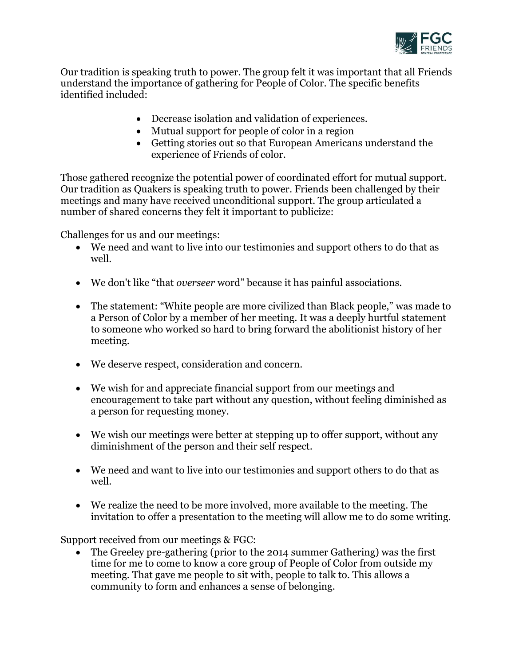

Our tradition is speaking truth to power. The group felt it was important that all Friends understand the importance of gathering for People of Color. The specific benefits identified included:

- Decrease isolation and validation of experiences.
- Mutual support for people of color in a region
- Getting stories out so that European Americans understand the experience of Friends of color.

Those gathered recognize the potential power of coordinated effort for mutual support. Our tradition as Quakers is speaking truth to power. Friends been challenged by their meetings and many have received unconditional support. The group articulated a number of shared concerns they felt it important to publicize:

Challenges for us and our meetings:

- We need and want to live into our testimonies and support others to do that as well.
- We don't like "that *overseer* word" because it has painful associations.
- The statement: "White people are more civilized than Black people," was made to a Person of Color by a member of her meeting. It was a deeply hurtful statement to someone who worked so hard to bring forward the abolitionist history of her meeting.
- We deserve respect, consideration and concern.
- We wish for and appreciate financial support from our meetings and encouragement to take part without any question, without feeling diminished as a person for requesting money.
- We wish our meetings were better at stepping up to offer support, without any diminishment of the person and their self respect.
- We need and want to live into our testimonies and support others to do that as well.
- We realize the need to be more involved, more available to the meeting. The invitation to offer a presentation to the meeting will allow me to do some writing.

Support received from our meetings & FGC:

 The Greeley pre-gathering (prior to the 2014 summer Gathering) was the first time for me to come to know a core group of People of Color from outside my meeting. That gave me people to sit with, people to talk to. This allows a community to form and enhances a sense of belonging.